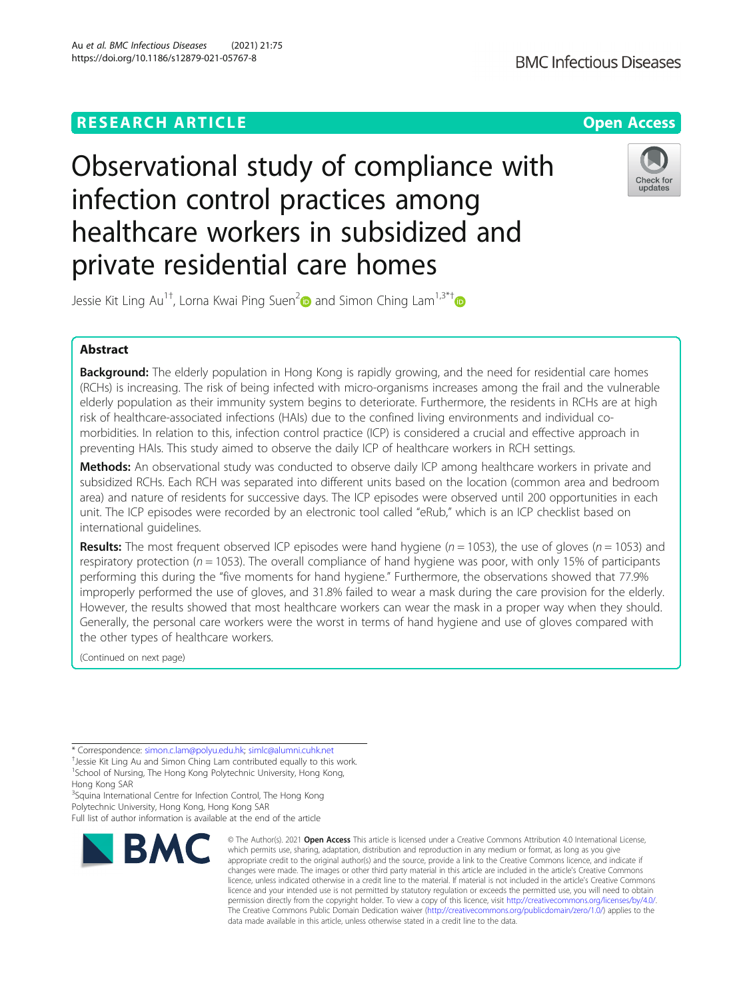# **RESEARCH ARTICLE Example 2014 12:30 The Contract of Contract Contract Contract Contract Contract Contract Contract Contract Contract Contract Contract Contract Contract Contract Contract Contract Contract Contract Contr**

# Observational study of compliance with infection control practices among healthcare workers in subsidized and private residential care homes



Jessie Kit Ling Au<sup>1†</sup>, Lorna Kwai Ping Suen<sup>[2](https://orcid.org/0000-0002-0126-6674)</sup> $\bullet$  and Simon Ching Lam<sup>1,3\*†</sup>

# Abstract

**Background:** The elderly population in Hong Kong is rapidly growing, and the need for residential care homes (RCHs) is increasing. The risk of being infected with micro-organisms increases among the frail and the vulnerable elderly population as their immunity system begins to deteriorate. Furthermore, the residents in RCHs are at high risk of healthcare-associated infections (HAIs) due to the confined living environments and individual comorbidities. In relation to this, infection control practice (ICP) is considered a crucial and effective approach in preventing HAIs. This study aimed to observe the daily ICP of healthcare workers in RCH settings.

Methods: An observational study was conducted to observe daily ICP among healthcare workers in private and subsidized RCHs. Each RCH was separated into different units based on the location (common area and bedroom area) and nature of residents for successive days. The ICP episodes were observed until 200 opportunities in each unit. The ICP episodes were recorded by an electronic tool called "eRub," which is an ICP checklist based on international guidelines.

**Results:** The most frequent observed ICP episodes were hand hygiene ( $n = 1053$ ), the use of gloves ( $n = 1053$ ) and respiratory protection ( $n = 1053$ ). The overall compliance of hand hygiene was poor, with only 15% of participants performing this during the "five moments for hand hygiene." Furthermore, the observations showed that 77.9% improperly performed the use of gloves, and 31.8% failed to wear a mask during the care provision for the elderly. However, the results showed that most healthcare workers can wear the mask in a proper way when they should. Generally, the personal care workers were the worst in terms of hand hygiene and use of gloves compared with the other types of healthcare workers.

(Continued on next page)

Hong Kong SAR <sup>3</sup>Squina International Centre for Infection Control, The Hong Kong Polytechnic University, Hong Kong, Hong Kong SAR

Full list of author information is available at the end of the article



<sup>©</sup> The Author(s), 2021 **Open Access** This article is licensed under a Creative Commons Attribution 4.0 International License, which permits use, sharing, adaptation, distribution and reproduction in any medium or format, as long as you give appropriate credit to the original author(s) and the source, provide a link to the Creative Commons licence, and indicate if changes were made. The images or other third party material in this article are included in the article's Creative Commons licence, unless indicated otherwise in a credit line to the material. If material is not included in the article's Creative Commons licence and your intended use is not permitted by statutory regulation or exceeds the permitted use, you will need to obtain permission directly from the copyright holder. To view a copy of this licence, visit [http://creativecommons.org/licenses/by/4.0/.](http://creativecommons.org/licenses/by/4.0/) The Creative Commons Public Domain Dedication waiver [\(http://creativecommons.org/publicdomain/zero/1.0/](http://creativecommons.org/publicdomain/zero/1.0/)) applies to the data made available in this article, unless otherwise stated in a credit line to the data.

<sup>\*</sup> Correspondence: [simon.c.lam@polyu.edu.hk](mailto:simon.c.lam@polyu.edu.hk); [simlc@alumni.cuhk.net](mailto:simlc@alumni.cuhk.net) †

<sup>&</sup>lt;sup>+</sup> Jessie Kit Ling Au and Simon Ching Lam contributed equally to this work. <sup>1</sup>School of Nursing, The Hong Kong Polytechnic University, Hong Kong,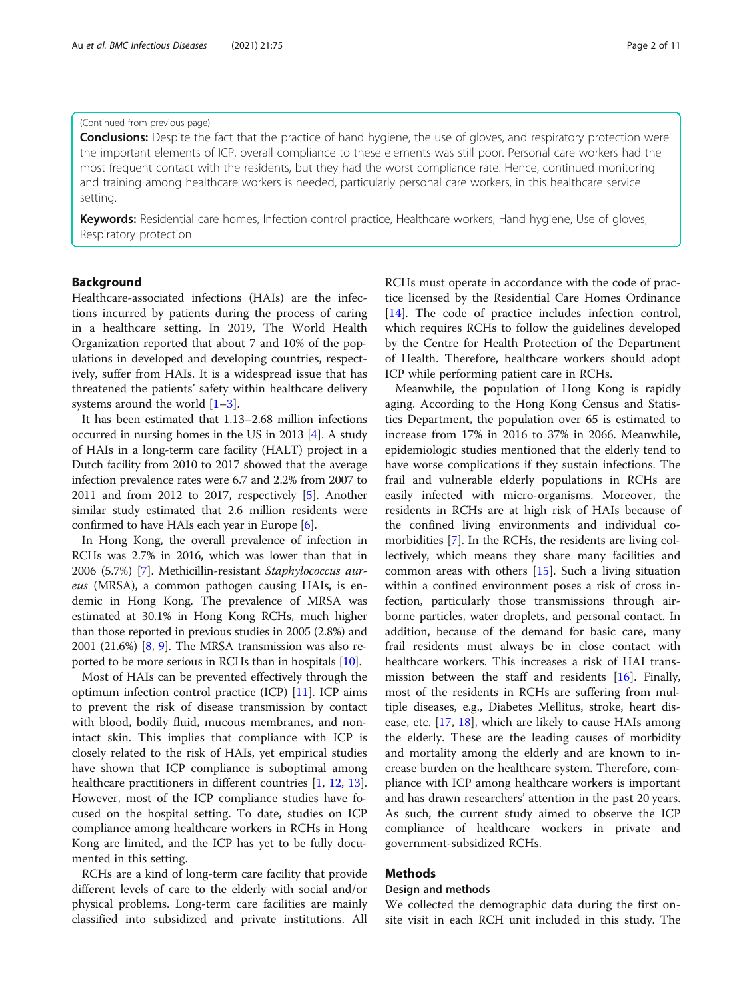#### (Continued from previous page)

**Conclusions:** Despite the fact that the practice of hand hygiene, the use of gloves, and respiratory protection were the important elements of ICP, overall compliance to these elements was still poor. Personal care workers had the most frequent contact with the residents, but they had the worst compliance rate. Hence, continued monitoring and training among healthcare workers is needed, particularly personal care workers, in this healthcare service setting.

Keywords: Residential care homes, Infection control practice, Healthcare workers, Hand hygiene, Use of gloves, Respiratory protection

### Background

Healthcare-associated infections (HAIs) are the infections incurred by patients during the process of caring in a healthcare setting. In 2019, The World Health Organization reported that about 7 and 10% of the populations in developed and developing countries, respectively, suffer from HAIs. It is a widespread issue that has threatened the patients' safety within healthcare delivery systems around the world  $[1-3]$  $[1-3]$  $[1-3]$  $[1-3]$  $[1-3]$ .

It has been estimated that 1.13–2.68 million infections occurred in nursing homes in the US in 2013 [\[4\]](#page-9-0). A study of HAIs in a long-term care facility (HALT) project in a Dutch facility from 2010 to 2017 showed that the average infection prevalence rates were 6.7 and 2.2% from 2007 to 2011 and from 2012 to 2017, respectively [\[5](#page-9-0)]. Another similar study estimated that 2.6 million residents were confirmed to have HAIs each year in Europe [[6](#page-9-0)].

In Hong Kong, the overall prevalence of infection in RCHs was 2.7% in 2016, which was lower than that in 2006 (5.7%) [\[7](#page-9-0)]. Methicillin-resistant Staphylococcus aureus (MRSA), a common pathogen causing HAIs, is endemic in Hong Kong. The prevalence of MRSA was estimated at 30.1% in Hong Kong RCHs, much higher than those reported in previous studies in 2005 (2.8%) and 2001 (21.6%) [\[8,](#page-9-0) [9](#page-9-0)]. The MRSA transmission was also reported to be more serious in RCHs than in hospitals [\[10\]](#page-9-0).

Most of HAIs can be prevented effectively through the optimum infection control practice (ICP) [\[11\]](#page-9-0). ICP aims to prevent the risk of disease transmission by contact with blood, bodily fluid, mucous membranes, and nonintact skin. This implies that compliance with ICP is closely related to the risk of HAIs, yet empirical studies have shown that ICP compliance is suboptimal among healthcare practitioners in different countries [[1,](#page-9-0) [12](#page-9-0), [13](#page-9-0)]. However, most of the ICP compliance studies have focused on the hospital setting. To date, studies on ICP compliance among healthcare workers in RCHs in Hong Kong are limited, and the ICP has yet to be fully documented in this setting.

RCHs are a kind of long-term care facility that provide different levels of care to the elderly with social and/or physical problems. Long-term care facilities are mainly classified into subsidized and private institutions. All RCHs must operate in accordance with the code of practice licensed by the Residential Care Homes Ordinance [[14\]](#page-9-0). The code of practice includes infection control, which requires RCHs to follow the guidelines developed by the Centre for Health Protection of the Department of Health. Therefore, healthcare workers should adopt ICP while performing patient care in RCHs.

Meanwhile, the population of Hong Kong is rapidly aging. According to the Hong Kong Census and Statistics Department, the population over 65 is estimated to increase from 17% in 2016 to 37% in 2066. Meanwhile, epidemiologic studies mentioned that the elderly tend to have worse complications if they sustain infections. The frail and vulnerable elderly populations in RCHs are easily infected with micro-organisms. Moreover, the residents in RCHs are at high risk of HAIs because of the confined living environments and individual comorbidities [\[7](#page-9-0)]. In the RCHs, the residents are living collectively, which means they share many facilities and common areas with others [[15\]](#page-9-0). Such a living situation within a confined environment poses a risk of cross infection, particularly those transmissions through airborne particles, water droplets, and personal contact. In addition, because of the demand for basic care, many frail residents must always be in close contact with healthcare workers. This increases a risk of HAI transmission between the staff and residents [[16](#page-9-0)]. Finally, most of the residents in RCHs are suffering from multiple diseases, e.g., Diabetes Mellitus, stroke, heart disease, etc. [[17](#page-9-0), [18\]](#page-9-0), which are likely to cause HAIs among the elderly. These are the leading causes of morbidity and mortality among the elderly and are known to increase burden on the healthcare system. Therefore, compliance with ICP among healthcare workers is important and has drawn researchers' attention in the past 20 years. As such, the current study aimed to observe the ICP compliance of healthcare workers in private and government-subsidized RCHs.

# Methods

#### Design and methods

We collected the demographic data during the first onsite visit in each RCH unit included in this study. The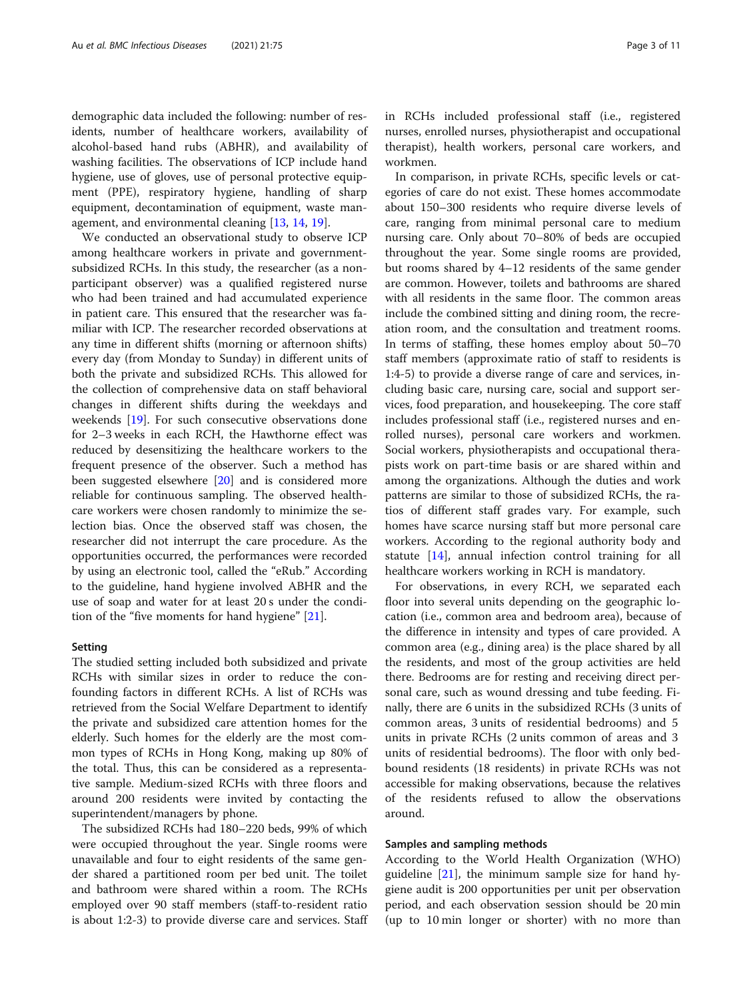demographic data included the following: number of residents, number of healthcare workers, availability of alcohol-based hand rubs (ABHR), and availability of washing facilities. The observations of ICP include hand hygiene, use of gloves, use of personal protective equipment (PPE), respiratory hygiene, handling of sharp equipment, decontamination of equipment, waste management, and environmental cleaning [[13](#page-9-0), [14](#page-9-0), [19](#page-9-0)].

We conducted an observational study to observe ICP among healthcare workers in private and governmentsubsidized RCHs. In this study, the researcher (as a nonparticipant observer) was a qualified registered nurse who had been trained and had accumulated experience in patient care. This ensured that the researcher was familiar with ICP. The researcher recorded observations at any time in different shifts (morning or afternoon shifts) every day (from Monday to Sunday) in different units of both the private and subsidized RCHs. This allowed for the collection of comprehensive data on staff behavioral changes in different shifts during the weekdays and weekends [\[19](#page-9-0)]. For such consecutive observations done for 2–3 weeks in each RCH, the Hawthorne effect was reduced by desensitizing the healthcare workers to the frequent presence of the observer. Such a method has been suggested elsewhere [\[20](#page-9-0)] and is considered more reliable for continuous sampling. The observed healthcare workers were chosen randomly to minimize the selection bias. Once the observed staff was chosen, the researcher did not interrupt the care procedure. As the opportunities occurred, the performances were recorded by using an electronic tool, called the "eRub." According to the guideline, hand hygiene involved ABHR and the use of soap and water for at least 20 s under the condition of the "five moments for hand hygiene" [\[21](#page-9-0)].

#### Setting

The studied setting included both subsidized and private RCHs with similar sizes in order to reduce the confounding factors in different RCHs. A list of RCHs was retrieved from the Social Welfare Department to identify the private and subsidized care attention homes for the elderly. Such homes for the elderly are the most common types of RCHs in Hong Kong, making up 80% of the total. Thus, this can be considered as a representative sample. Medium-sized RCHs with three floors and around 200 residents were invited by contacting the superintendent/managers by phone.

The subsidized RCHs had 180–220 beds, 99% of which were occupied throughout the year. Single rooms were unavailable and four to eight residents of the same gender shared a partitioned room per bed unit. The toilet and bathroom were shared within a room. The RCHs employed over 90 staff members (staff-to-resident ratio is about 1:2-3) to provide diverse care and services. Staff in RCHs included professional staff (i.e., registered nurses, enrolled nurses, physiotherapist and occupational therapist), health workers, personal care workers, and workmen.

In comparison, in private RCHs, specific levels or categories of care do not exist. These homes accommodate about 150–300 residents who require diverse levels of care, ranging from minimal personal care to medium nursing care. Only about 70–80% of beds are occupied throughout the year. Some single rooms are provided, but rooms shared by 4–12 residents of the same gender are common. However, toilets and bathrooms are shared with all residents in the same floor. The common areas include the combined sitting and dining room, the recreation room, and the consultation and treatment rooms. In terms of staffing, these homes employ about 50–70 staff members (approximate ratio of staff to residents is 1:4-5) to provide a diverse range of care and services, including basic care, nursing care, social and support services, food preparation, and housekeeping. The core staff includes professional staff (i.e., registered nurses and enrolled nurses), personal care workers and workmen. Social workers, physiotherapists and occupational therapists work on part-time basis or are shared within and among the organizations. Although the duties and work patterns are similar to those of subsidized RCHs, the ratios of different staff grades vary. For example, such homes have scarce nursing staff but more personal care workers. According to the regional authority body and statute [\[14](#page-9-0)], annual infection control training for all healthcare workers working in RCH is mandatory.

For observations, in every RCH, we separated each floor into several units depending on the geographic location (i.e., common area and bedroom area), because of the difference in intensity and types of care provided. A common area (e.g., dining area) is the place shared by all the residents, and most of the group activities are held there. Bedrooms are for resting and receiving direct personal care, such as wound dressing and tube feeding. Finally, there are 6 units in the subsidized RCHs (3 units of common areas, 3 units of residential bedrooms) and 5 units in private RCHs (2 units common of areas and 3 units of residential bedrooms). The floor with only bedbound residents (18 residents) in private RCHs was not accessible for making observations, because the relatives of the residents refused to allow the observations around.

#### Samples and sampling methods

According to the World Health Organization (WHO) guideline [[21](#page-9-0)], the minimum sample size for hand hygiene audit is 200 opportunities per unit per observation period, and each observation session should be 20 min (up to 10 min longer or shorter) with no more than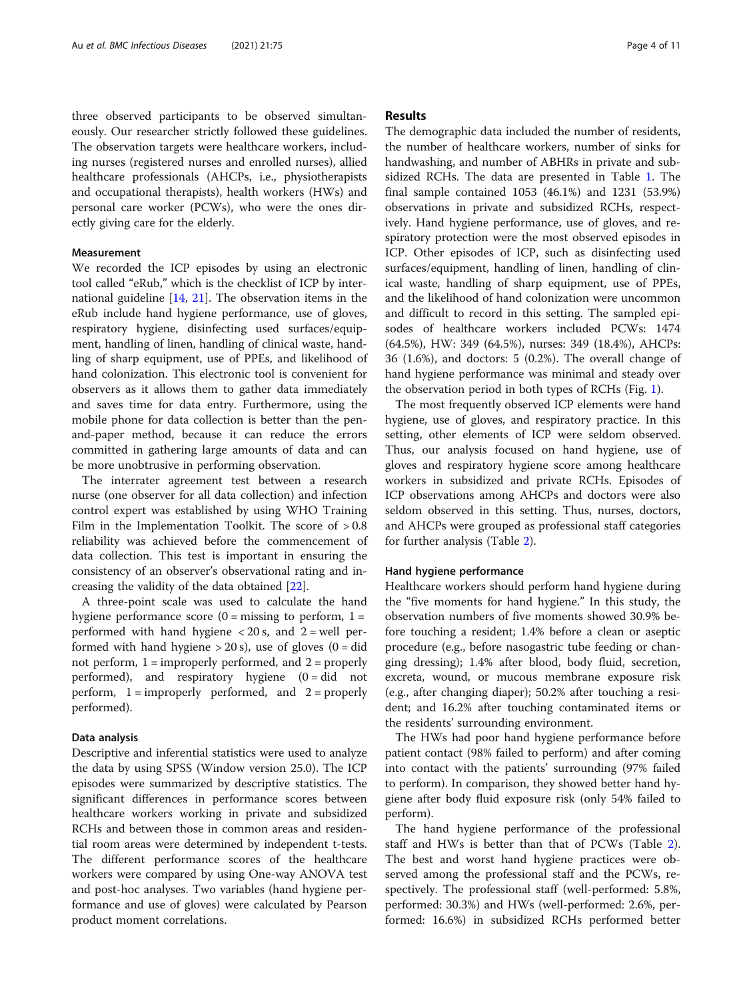three observed participants to be observed simultaneously. Our researcher strictly followed these guidelines. The observation targets were healthcare workers, including nurses (registered nurses and enrolled nurses), allied healthcare professionals (AHCPs, i.e., physiotherapists and occupational therapists), health workers (HWs) and personal care worker (PCWs), who were the ones directly giving care for the elderly.

### Measurement

We recorded the ICP episodes by using an electronic tool called "eRub," which is the checklist of ICP by international guideline [[14,](#page-9-0) [21\]](#page-9-0). The observation items in the eRub include hand hygiene performance, use of gloves, respiratory hygiene, disinfecting used surfaces/equipment, handling of linen, handling of clinical waste, handling of sharp equipment, use of PPEs, and likelihood of hand colonization. This electronic tool is convenient for observers as it allows them to gather data immediately and saves time for data entry. Furthermore, using the mobile phone for data collection is better than the penand-paper method, because it can reduce the errors committed in gathering large amounts of data and can be more unobtrusive in performing observation.

The interrater agreement test between a research nurse (one observer for all data collection) and infection control expert was established by using WHO Training Film in the Implementation Toolkit. The score of > 0.8 reliability was achieved before the commencement of data collection. This test is important in ensuring the consistency of an observer's observational rating and increasing the validity of the data obtained [\[22](#page-9-0)].

A three-point scale was used to calculate the hand hygiene performance score  $(0 = \text{missing to perform}, 1 =$ performed with hand hygiene  $< 20$  s, and  $2 =$  well performed with hand hygiene  $> 20$  s), use of gloves (0 = did not perform,  $1 =$  improperly performed, and  $2 =$  properly performed), and respiratory hygiene  $(0 = did not$ perform,  $1 =$  improperly performed, and  $2 =$  properly performed).

#### Data analysis

Descriptive and inferential statistics were used to analyze the data by using SPSS (Window version 25.0). The ICP episodes were summarized by descriptive statistics. The significant differences in performance scores between healthcare workers working in private and subsidized RCHs and between those in common areas and residential room areas were determined by independent t-tests. The different performance scores of the healthcare workers were compared by using One-way ANOVA test and post-hoc analyses. Two variables (hand hygiene performance and use of gloves) were calculated by Pearson product moment correlations.

#### Results

The demographic data included the number of residents, the number of healthcare workers, number of sinks for handwashing, and number of ABHRs in private and subsidized RCHs. The data are presented in Table [1.](#page-4-0) The final sample contained 1053 (46.1%) and 1231 (53.9%) observations in private and subsidized RCHs, respectively. Hand hygiene performance, use of gloves, and respiratory protection were the most observed episodes in ICP. Other episodes of ICP, such as disinfecting used surfaces/equipment, handling of linen, handling of clinical waste, handling of sharp equipment, use of PPEs, and the likelihood of hand colonization were uncommon and difficult to record in this setting. The sampled episodes of healthcare workers included PCWs: 1474 (64.5%), HW: 349 (64.5%), nurses: 349 (18.4%), AHCPs: 36 (1.6%), and doctors: 5 (0.2%). The overall change of hand hygiene performance was minimal and steady over the observation period in both types of RCHs (Fig. [1\)](#page-4-0).

The most frequently observed ICP elements were hand hygiene, use of gloves, and respiratory practice. In this setting, other elements of ICP were seldom observed. Thus, our analysis focused on hand hygiene, use of gloves and respiratory hygiene score among healthcare workers in subsidized and private RCHs. Episodes of ICP observations among AHCPs and doctors were also seldom observed in this setting. Thus, nurses, doctors, and AHCPs were grouped as professional staff categories for further analysis (Table [2\)](#page-5-0).

#### Hand hygiene performance

Healthcare workers should perform hand hygiene during the "five moments for hand hygiene." In this study, the observation numbers of five moments showed 30.9% before touching a resident; 1.4% before a clean or aseptic procedure (e.g., before nasogastric tube feeding or changing dressing); 1.4% after blood, body fluid, secretion, excreta, wound, or mucous membrane exposure risk (e.g., after changing diaper); 50.2% after touching a resident; and 16.2% after touching contaminated items or the residents' surrounding environment.

The HWs had poor hand hygiene performance before patient contact (98% failed to perform) and after coming into contact with the patients' surrounding (97% failed to perform). In comparison, they showed better hand hygiene after body fluid exposure risk (only 54% failed to perform).

The hand hygiene performance of the professional staff and HWs is better than that of PCWs (Table [2](#page-5-0)). The best and worst hand hygiene practices were observed among the professional staff and the PCWs, respectively. The professional staff (well-performed: 5.8%, performed: 30.3%) and HWs (well-performed: 2.6%, performed: 16.6%) in subsidized RCHs performed better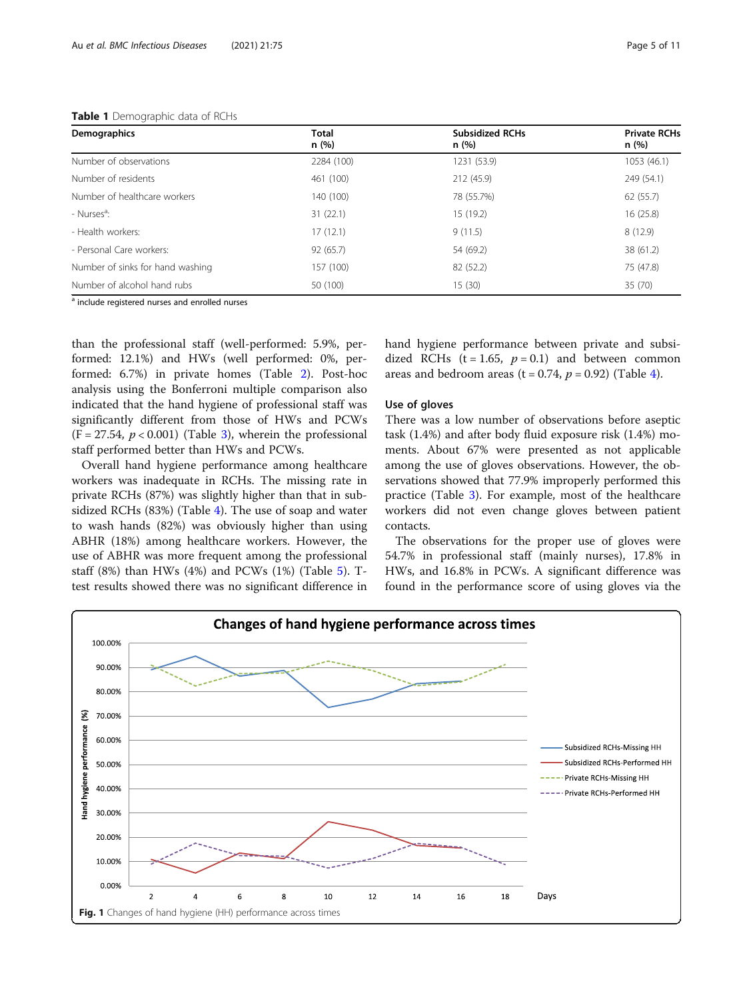#### <span id="page-4-0"></span>Table 1 Demographic data of RCHs

| Demographics                     | <b>Total</b><br>n(%) | <b>Subsidized RCHs</b><br>n (%) | <b>Private RCHs</b><br>n (%) |  |
|----------------------------------|----------------------|---------------------------------|------------------------------|--|
| Number of observations           | 2284 (100)           | 1231 (53.9)                     | 1053 (46.1)                  |  |
| Number of residents              | 461 (100)            | 212 (45.9)                      | 249 (54.1)                   |  |
| Number of healthcare workers     | 140 (100)            | 78 (55.7%)                      | 62 (55.7)                    |  |
| - Nurses <sup>a</sup> :          | 31(22.1)             | 15 (19.2)                       | 16(25.8)                     |  |
| - Health workers:                | 17(12.1)             | 9(11.5)                         | 8(12.9)                      |  |
| - Personal Care workers:         | 92(65.7)             | 54 (69.2)                       | 38 (61.2)                    |  |
| Number of sinks for hand washing | 157 (100)            | 82 (52.2)                       | 75 (47.8)                    |  |
| Number of alcohol hand rubs      | 50 (100)             | 15(30)                          | 35 (70)                      |  |

<sup>a</sup> include registered nurses and enrolled nurses

than the professional staff (well-performed: 5.9%, performed: 12.1%) and HWs (well performed: 0%, performed: 6.7%) in private homes (Table [2\)](#page-5-0). Post-hoc analysis using the Bonferroni multiple comparison also indicated that the hand hygiene of professional staff was significantly different from those of HWs and PCWs  $(F = 27.54, p < 0.001)$  (Table [3\)](#page-5-0), wherein the professional staff performed better than HWs and PCWs.

Overall hand hygiene performance among healthcare workers was inadequate in RCHs. The missing rate in private RCHs (87%) was slightly higher than that in subsidized RCHs (83%) (Table [4](#page-6-0)). The use of soap and water to wash hands (82%) was obviously higher than using ABHR (18%) among healthcare workers. However, the use of ABHR was more frequent among the professional staff (8%) than HWs (4%) and PCWs (1%) (Table [5\)](#page-6-0). Ttest results showed there was no significant difference in hand hygiene performance between private and subsidized RCHs (t = 1.65,  $p = 0.1$ ) and between common areas and bedroom areas (t = 0.7[4](#page-6-0),  $p = 0.92$ ) (Table 4).

#### Use of gloves

There was a low number of observations before aseptic task (1.4%) and after body fluid exposure risk (1.4%) moments. About 67% were presented as not applicable among the use of gloves observations. However, the observations showed that 77.9% improperly performed this practice (Table [3](#page-5-0)). For example, most of the healthcare workers did not even change gloves between patient contacts.

The observations for the proper use of gloves were 54.7% in professional staff (mainly nurses), 17.8% in HWs, and 16.8% in PCWs. A significant difference was found in the performance score of using gloves via the

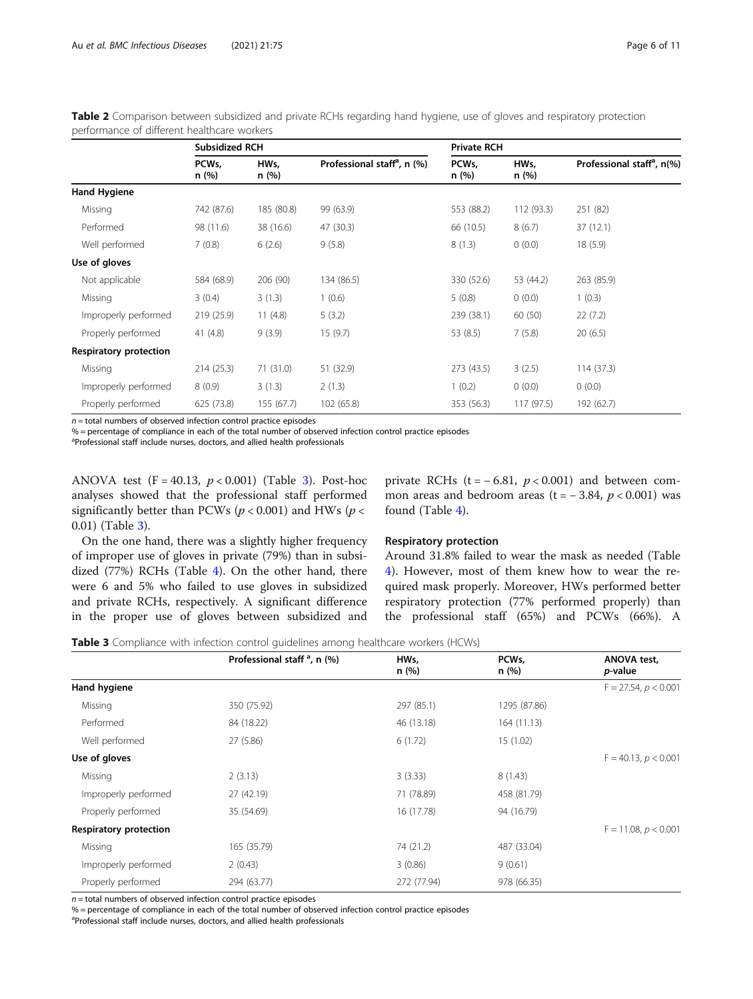|                               | <b>Subsidized RCH</b> |              |                                         | <b>Private RCH</b>         |              |                                        |
|-------------------------------|-----------------------|--------------|-----------------------------------------|----------------------------|--------------|----------------------------------------|
|                               | PCWs,<br>n (%)        | HWs,<br>n(%) | Professional staff <sup>a</sup> , n (%) | PCW <sub>s</sub> ,<br>n(%) | HWs,<br>n(%) | Professional staff <sup>a</sup> , n(%) |
| <b>Hand Hygiene</b>           |                       |              |                                         |                            |              |                                        |
| Missing                       | 742 (87.6)            | 185 (80.8)   | 99 (63.9)                               | 553 (88.2)                 | 112 (93.3)   | 251 (82)                               |
| Performed                     | 98 (11.6)             | 38 (16.6)    | 47 (30.3)                               | 66 (10.5)                  | 8(6.7)       | 37(12.1)                               |
| Well performed                | 7(0.8)                | 6(2.6)       | 9(5.8)                                  | 8(1.3)                     | 0(0.0)       | 18(5.9)                                |
| Use of gloves                 |                       |              |                                         |                            |              |                                        |
| Not applicable                | 584 (68.9)            | 206 (90)     | 134 (86.5)                              | 330 (52.6)                 | 53 (44.2)    | 263 (85.9)                             |
| Missing                       | 3(0.4)                | 3(1.3)       | 1(0.6)                                  | 5(0.8)                     | 0(0.0)       | 1(0.3)                                 |
| Improperly performed          | 219 (25.9)            | 11(4.8)      | 5(3.2)                                  | 239 (38.1)                 | 60(50)       | 22(7.2)                                |
| Properly performed            | 41 $(4.8)$            | 9(3.9)       | 15(9.7)                                 | 53 (8.5)                   | 7(5.8)       | 20(6.5)                                |
| <b>Respiratory protection</b> |                       |              |                                         |                            |              |                                        |
| Missing                       | 214(25.3)             | 71(31.0)     | 51 (32.9)                               | 273 (43.5)                 | 3(2.5)       | 114(37.3)                              |
| Improperly performed          | 8(0.9)                | 3(1.3)       | 2(1.3)                                  | 1(0.2)                     | 0(0.0)       | 0(0.0)                                 |
| Properly performed            | 625 (73.8)            | 155(67.7)    | 102 (65.8)                              | 353 (56.3)                 | 117(97.5)    | 192 (62.7)                             |

<span id="page-5-0"></span>Table 2 Comparison between subsidized and private RCHs regarding hand hygiene, use of gloves and respiratory protection performance of different healthcare workers

 $n =$  total numbers of observed infection control practice episodes

% = percentage of compliance in each of the total number of observed infection control practice episodes

<sup>a</sup>Professional staff include nurses, doctors, and allied health professionals

ANOVA test  $(F = 40.13, p < 0.001)$  (Table 3). Post-hoc analyses showed that the professional staff performed significantly better than PCWs ( $p < 0.001$ ) and HWs ( $p <$ 0.01) (Table 3).

On the one hand, there was a slightly higher frequency of improper use of gloves in private (79%) than in subsidized (77%) RCHs (Table [4](#page-6-0)). On the other hand, there were 6 and 5% who failed to use gloves in subsidized and private RCHs, respectively. A significant difference in the proper use of gloves between subsidized and private RCHs (t =  $-6.81$ ,  $p < 0.001$ ) and between common areas and bedroom areas (t =  $-3.84$ ,  $p < 0.001$ ) was found (Table [4\)](#page-6-0).

# Respiratory protection

Around 31.8% failed to wear the mask as needed (Table [4\)](#page-6-0). However, most of them knew how to wear the required mask properly. Moreover, HWs performed better respiratory protection (77% performed properly) than the professional staff (65%) and PCWs (66%). A

**Table 3** Compliance with infection control guidelines among healthcare workers (HCWs)

|                               | Professional staff $a$ , n (%) | HWs,<br>n(%) | PCW <sub>s</sub> ,<br>n (%) | <b>ANOVA test,</b><br><i>p</i> -value |
|-------------------------------|--------------------------------|--------------|-----------------------------|---------------------------------------|
| Hand hygiene                  |                                |              |                             | $F = 27.54$ , $p < 0.001$             |
| Missing                       | 350 (75.92)                    | 297 (85.1)   | 1295 (87.86)                |                                       |
| Performed                     | 84 (18.22)                     | 46 (13.18)   | 164 (11.13)                 |                                       |
| Well performed                | 27 (5.86)                      | 6(1.72)      | 15(1.02)                    |                                       |
| Use of gloves                 |                                |              |                             | $F = 40.13, p < 0.001$                |
| Missing                       | 2(3.13)                        | 3(3.33)      | 8(1.43)                     |                                       |
| Improperly performed          | 27 (42.19)                     | 71 (78.89)   | 458 (81.79)                 |                                       |
| Properly performed            | 35 (54.69)                     | 16 (17.78)   | 94 (16.79)                  |                                       |
| <b>Respiratory protection</b> |                                |              |                             | $F = 11.08, p < 0.001$                |
| Missing                       | 165 (35.79)                    | 74 (21.2)    | 487 (33.04)                 |                                       |
| Improperly performed          | 2(0.43)                        | 3(0.86)      | 9(0.61)                     |                                       |
| Properly performed            | 294 (63.77)                    | 272 (77.94)  | 978 (66.35)                 |                                       |

 $n =$  total numbers of observed infection control practice episodes

% = percentage of compliance in each of the total number of observed infection control practice episodes

<sup>a</sup>Professional staff include nurses, doctors, and allied health professionals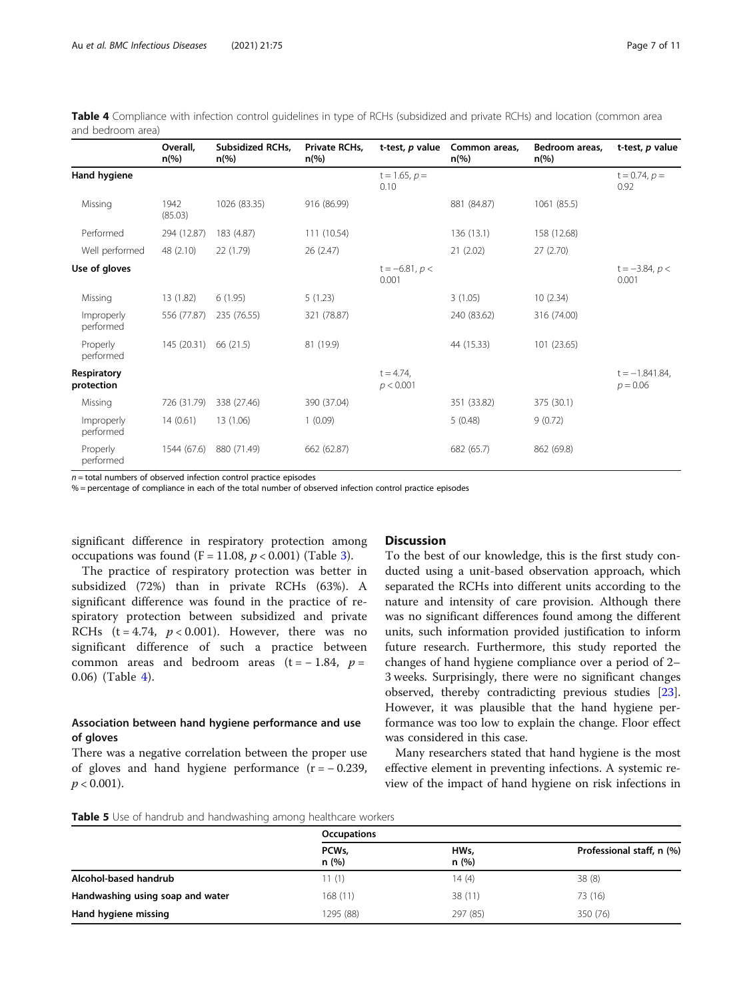|                           | Overall,<br>$n\frac{9}{6}$ | Subsidized RCHs,<br>$n\frac{6}{6}$ | Private RCHs,<br>$n\frac{6}{6}$ | t-test, p value           | Common areas,<br>$n\left(\%\right)$ | Bedroom areas,<br>$n\frac{6}{6}$ | t-test, p value                 |
|---------------------------|----------------------------|------------------------------------|---------------------------------|---------------------------|-------------------------------------|----------------------------------|---------------------------------|
| Hand hygiene              |                            |                                    |                                 | $t = 1.65, p =$<br>0.10   |                                     |                                  | $t = 0.74, p =$<br>0.92         |
| Missing                   | 1942<br>(85.03)            | 1026 (83.35)                       | 916 (86.99)                     |                           | 881 (84.87)                         | 1061 (85.5)                      |                                 |
| Performed                 | 294 (12.87)                | 183 (4.87)                         | 111 (10.54)                     |                           | 136(13.1)                           | 158 (12.68)                      |                                 |
| Well performed            | 48 (2.10)                  | 22 (1.79)                          | 26(2.47)                        |                           | 21(2.02)                            | 27(2.70)                         |                                 |
| Use of gloves             |                            |                                    |                                 | $t = -6.81, p <$<br>0.001 |                                     |                                  | $t = -3.84, p <$<br>0.001       |
| Missing                   | 13 (1.82)                  | 6(1.95)                            | 5(1.23)                         |                           | 3(1.05)                             | 10(2.34)                         |                                 |
| Improperly<br>performed   | 556 (77.87)                | 235 (76.55)                        | 321 (78.87)                     |                           | 240 (83.62)                         | 316 (74.00)                      |                                 |
| Properly<br>performed     | 145 (20.31)                | 66 (21.5)                          | 81 (19.9)                       |                           | 44 (15.33)                          | 101 (23.65)                      |                                 |
| Respiratory<br>protection |                            |                                    |                                 | $t = 4.74$ ,<br>p < 0.001 |                                     |                                  | $t = -1.841.84$ ,<br>$p = 0.06$ |
| Missing                   | 726 (31.79)                | 338 (27.46)                        | 390 (37.04)                     |                           | 351 (33.82)                         | 375 (30.1)                       |                                 |
| Improperly<br>performed   | 14(0.61)                   | 13 (1.06)                          | 1(0.09)                         |                           | 5(0.48)                             | 9(0.72)                          |                                 |
| Properly<br>performed     | 1544 (67.6)                | 880 (71.49)                        | 662 (62.87)                     |                           | 682 (65.7)                          | 862 (69.8)                       |                                 |

<span id="page-6-0"></span>Table 4 Compliance with infection control guidelines in type of RCHs (subsidized and private RCHs) and location (common area and bedroom area)

 $n =$  total numbers of observed infection control practice episodes

% = percentage of compliance in each of the total number of observed infection control practice episodes

significant difference in respiratory protection among occupations was found  $(F = 11.08, p < 0.001)$  (Table [3](#page-5-0)).

The practice of respiratory protection was better in subsidized (72%) than in private RCHs (63%). A significant difference was found in the practice of respiratory protection between subsidized and private RCHs  $(t = 4.74, p < 0.001)$ . However, there was no significant difference of such a practice between common areas and bedroom areas  $(t = -1.84, p =$ 0.06) (Table 4).

# Association between hand hygiene performance and use of gloves

There was a negative correlation between the proper use of gloves and hand hygiene performance  $(r = -0.239)$ ,  $p < 0.001$ ).

# **Discussion**

To the best of our knowledge, this is the first study conducted using a unit-based observation approach, which separated the RCHs into different units according to the nature and intensity of care provision. Although there was no significant differences found among the different units, such information provided justification to inform future research. Furthermore, this study reported the changes of hand hygiene compliance over a period of 2– 3 weeks. Surprisingly, there were no significant changes observed, thereby contradicting previous studies [\[23](#page-9-0)]. However, it was plausible that the hand hygiene performance was too low to explain the change. Floor effect was considered in this case.

Many researchers stated that hand hygiene is the most effective element in preventing infections. A systemic review of the impact of hand hygiene on risk infections in

Table 5 Use of handrub and handwashing among healthcare workers

|                                  | <b>Occupations</b> |              |                           |  |
|----------------------------------|--------------------|--------------|---------------------------|--|
|                                  | PCWs,<br>n(%)      | HWs,<br>n(%) | Professional staff, n (%) |  |
| Alcohol-based handrub            | 11(1)              | 14(4)        | 38(8)                     |  |
| Handwashing using soap and water | 168(11)            | 38(11)       | 73 (16)                   |  |
| Hand hygiene missing             | 1295 (88)          | 297 (85)     | 350 (76)                  |  |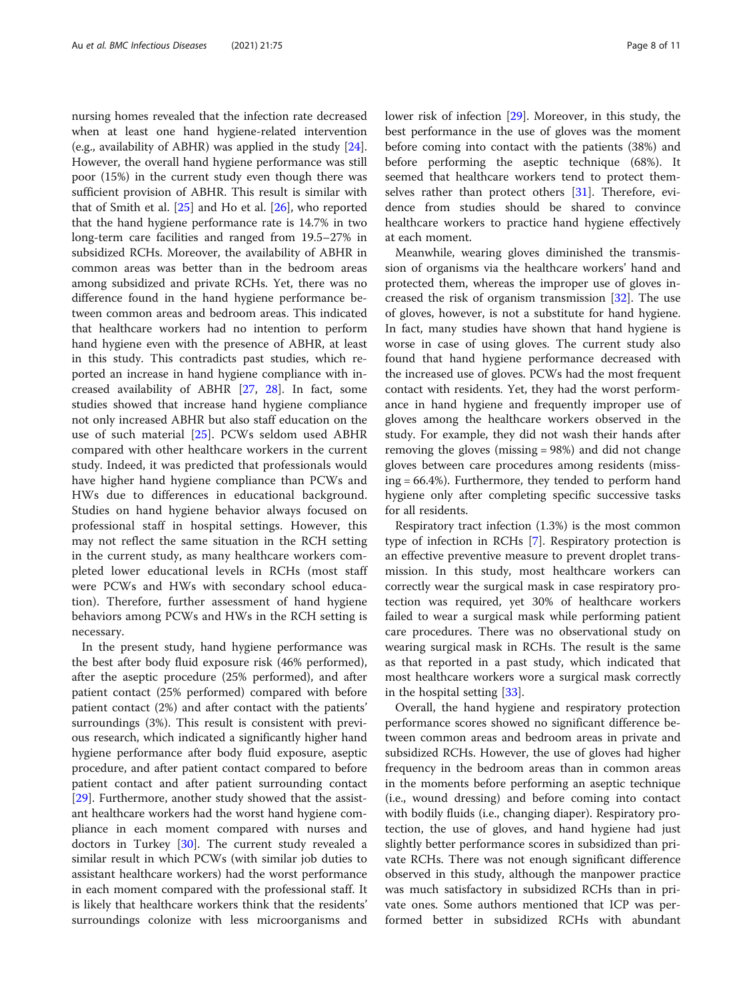nursing homes revealed that the infection rate decreased when at least one hand hygiene-related intervention (e.g., availability of ABHR) was applied in the study [\[24](#page-9-0)]. However, the overall hand hygiene performance was still poor (15%) in the current study even though there was sufficient provision of ABHR. This result is similar with that of Smith et al. [[25](#page-9-0)] and Ho et al. [[26\]](#page-9-0), who reported that the hand hygiene performance rate is 14.7% in two long-term care facilities and ranged from 19.5–27% in subsidized RCHs. Moreover, the availability of ABHR in common areas was better than in the bedroom areas among subsidized and private RCHs. Yet, there was no difference found in the hand hygiene performance between common areas and bedroom areas. This indicated that healthcare workers had no intention to perform hand hygiene even with the presence of ABHR, at least in this study. This contradicts past studies, which reported an increase in hand hygiene compliance with increased availability of ABHR [[27,](#page-9-0) [28\]](#page-9-0). In fact, some studies showed that increase hand hygiene compliance not only increased ABHR but also staff education on the use of such material [\[25](#page-9-0)]. PCWs seldom used ABHR compared with other healthcare workers in the current study. Indeed, it was predicted that professionals would have higher hand hygiene compliance than PCWs and HWs due to differences in educational background. Studies on hand hygiene behavior always focused on professional staff in hospital settings. However, this may not reflect the same situation in the RCH setting in the current study, as many healthcare workers completed lower educational levels in RCHs (most staff were PCWs and HWs with secondary school education). Therefore, further assessment of hand hygiene behaviors among PCWs and HWs in the RCH setting is necessary.

In the present study, hand hygiene performance was the best after body fluid exposure risk (46% performed), after the aseptic procedure (25% performed), and after patient contact (25% performed) compared with before patient contact (2%) and after contact with the patients' surroundings (3%). This result is consistent with previous research, which indicated a significantly higher hand hygiene performance after body fluid exposure, aseptic procedure, and after patient contact compared to before patient contact and after patient surrounding contact [[29\]](#page-9-0). Furthermore, another study showed that the assistant healthcare workers had the worst hand hygiene compliance in each moment compared with nurses and doctors in Turkey [\[30](#page-9-0)]. The current study revealed a similar result in which PCWs (with similar job duties to assistant healthcare workers) had the worst performance in each moment compared with the professional staff. It is likely that healthcare workers think that the residents' surroundings colonize with less microorganisms and lower risk of infection [[29](#page-9-0)]. Moreover, in this study, the best performance in the use of gloves was the moment before coming into contact with the patients (38%) and before performing the aseptic technique (68%). It seemed that healthcare workers tend to protect them-selves rather than protect others [\[31](#page-9-0)]. Therefore, evidence from studies should be shared to convince healthcare workers to practice hand hygiene effectively at each moment.

Meanwhile, wearing gloves diminished the transmission of organisms via the healthcare workers' hand and protected them, whereas the improper use of gloves increased the risk of organism transmission [\[32](#page-9-0)]. The use of gloves, however, is not a substitute for hand hygiene. In fact, many studies have shown that hand hygiene is worse in case of using gloves. The current study also found that hand hygiene performance decreased with the increased use of gloves. PCWs had the most frequent contact with residents. Yet, they had the worst performance in hand hygiene and frequently improper use of gloves among the healthcare workers observed in the study. For example, they did not wash their hands after removing the gloves (missing = 98%) and did not change gloves between care procedures among residents (missing = 66.4%). Furthermore, they tended to perform hand hygiene only after completing specific successive tasks for all residents.

Respiratory tract infection (1.3%) is the most common type of infection in RCHs [\[7](#page-9-0)]. Respiratory protection is an effective preventive measure to prevent droplet transmission. In this study, most healthcare workers can correctly wear the surgical mask in case respiratory protection was required, yet 30% of healthcare workers failed to wear a surgical mask while performing patient care procedures. There was no observational study on wearing surgical mask in RCHs. The result is the same as that reported in a past study, which indicated that most healthcare workers wore a surgical mask correctly in the hospital setting [[33\]](#page-9-0).

Overall, the hand hygiene and respiratory protection performance scores showed no significant difference between common areas and bedroom areas in private and subsidized RCHs. However, the use of gloves had higher frequency in the bedroom areas than in common areas in the moments before performing an aseptic technique (i.e., wound dressing) and before coming into contact with bodily fluids (i.e., changing diaper). Respiratory protection, the use of gloves, and hand hygiene had just slightly better performance scores in subsidized than private RCHs. There was not enough significant difference observed in this study, although the manpower practice was much satisfactory in subsidized RCHs than in private ones. Some authors mentioned that ICP was performed better in subsidized RCHs with abundant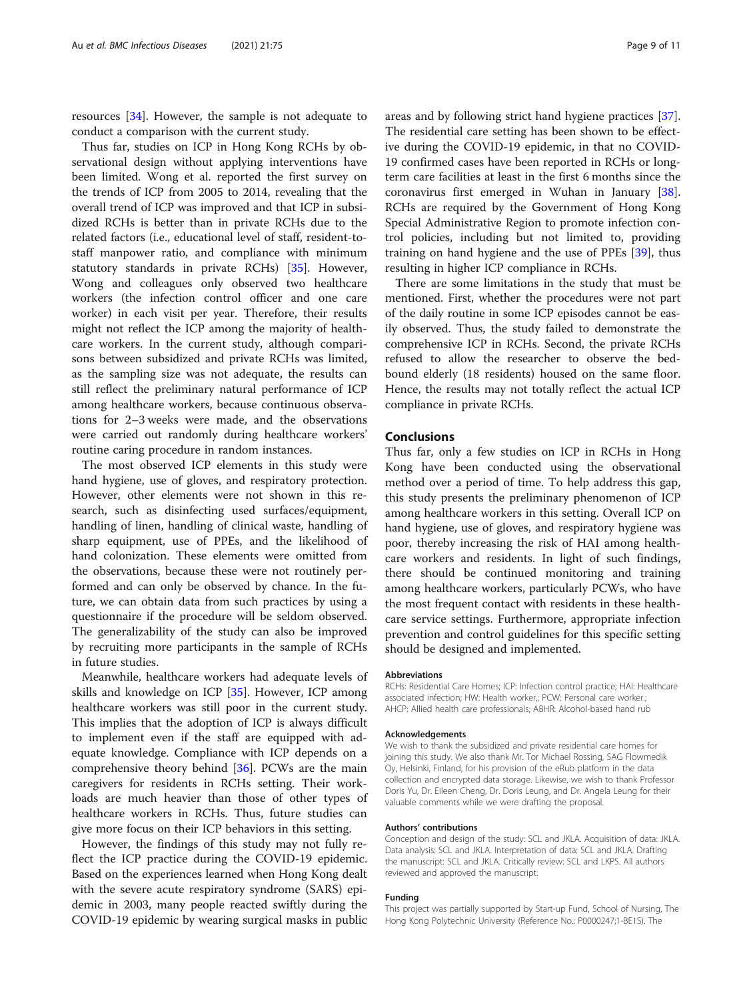resources [\[34](#page-9-0)]. However, the sample is not adequate to conduct a comparison with the current study.

Thus far, studies on ICP in Hong Kong RCHs by observational design without applying interventions have been limited. Wong et al. reported the first survey on the trends of ICP from 2005 to 2014, revealing that the overall trend of ICP was improved and that ICP in subsidized RCHs is better than in private RCHs due to the related factors (i.e., educational level of staff, resident-tostaff manpower ratio, and compliance with minimum statutory standards in private RCHs) [\[35](#page-9-0)]. However, Wong and colleagues only observed two healthcare workers (the infection control officer and one care worker) in each visit per year. Therefore, their results might not reflect the ICP among the majority of healthcare workers. In the current study, although comparisons between subsidized and private RCHs was limited, as the sampling size was not adequate, the results can still reflect the preliminary natural performance of ICP among healthcare workers, because continuous observations for 2–3 weeks were made, and the observations were carried out randomly during healthcare workers' routine caring procedure in random instances.

The most observed ICP elements in this study were hand hygiene, use of gloves, and respiratory protection. However, other elements were not shown in this research, such as disinfecting used surfaces/equipment, handling of linen, handling of clinical waste, handling of sharp equipment, use of PPEs, and the likelihood of hand colonization. These elements were omitted from the observations, because these were not routinely performed and can only be observed by chance. In the future, we can obtain data from such practices by using a questionnaire if the procedure will be seldom observed. The generalizability of the study can also be improved by recruiting more participants in the sample of RCHs in future studies.

Meanwhile, healthcare workers had adequate levels of skills and knowledge on ICP [[35](#page-9-0)]. However, ICP among healthcare workers was still poor in the current study. This implies that the adoption of ICP is always difficult to implement even if the staff are equipped with adequate knowledge. Compliance with ICP depends on a comprehensive theory behind [\[36](#page-9-0)]. PCWs are the main caregivers for residents in RCHs setting. Their workloads are much heavier than those of other types of healthcare workers in RCHs. Thus, future studies can give more focus on their ICP behaviors in this setting.

However, the findings of this study may not fully reflect the ICP practice during the COVID-19 epidemic. Based on the experiences learned when Hong Kong dealt with the severe acute respiratory syndrome (SARS) epidemic in 2003, many people reacted swiftly during the COVID-19 epidemic by wearing surgical masks in public

areas and by following strict hand hygiene practices [\[37](#page-10-0)]. The residential care setting has been shown to be effective during the COVID-19 epidemic, in that no COVID-19 confirmed cases have been reported in RCHs or longterm care facilities at least in the first 6 months since the coronavirus first emerged in Wuhan in January [\[38](#page-10-0)]. RCHs are required by the Government of Hong Kong Special Administrative Region to promote infection control policies, including but not limited to, providing training on hand hygiene and the use of PPEs [\[39](#page-10-0)], thus resulting in higher ICP compliance in RCHs.

There are some limitations in the study that must be mentioned. First, whether the procedures were not part of the daily routine in some ICP episodes cannot be easily observed. Thus, the study failed to demonstrate the comprehensive ICP in RCHs. Second, the private RCHs refused to allow the researcher to observe the bedbound elderly (18 residents) housed on the same floor. Hence, the results may not totally reflect the actual ICP compliance in private RCHs.

#### Conclusions

Thus far, only a few studies on ICP in RCHs in Hong Kong have been conducted using the observational method over a period of time. To help address this gap, this study presents the preliminary phenomenon of ICP among healthcare workers in this setting. Overall ICP on hand hygiene, use of gloves, and respiratory hygiene was poor, thereby increasing the risk of HAI among healthcare workers and residents. In light of such findings, there should be continued monitoring and training among healthcare workers, particularly PCWs, who have the most frequent contact with residents in these healthcare service settings. Furthermore, appropriate infection prevention and control guidelines for this specific setting should be designed and implemented.

#### Abbreviations

RCHs: Residential Care Homes; ICP: Infection control practice; HAI: Healthcare associated infection; HW: Health worker,; PCW: Personal care worker.; AHCP: Allied health care professionals; ABHR: Alcohol-based hand rub

#### Acknowledgements

We wish to thank the subsidized and private residential care homes for joining this study. We also thank Mr. Tor Michael Rossing, SAG Flowmedik Oy, Helsinki, Finland, for his provision of the eRub platform in the data collection and encrypted data storage. Likewise, we wish to thank Professor Doris Yu, Dr. Eileen Cheng, Dr. Doris Leung, and Dr. Angela Leung for their valuable comments while we were drafting the proposal.

#### Authors' contributions

Conception and design of the study: SCL and JKLA. Acquisition of data: JKLA. Data analysis: SCL and JKLA. Interpretation of data: SCL and JKLA. Drafting the manuscript: SCL and JKLA. Critically review: SCL and LKPS. All authors reviewed and approved the manuscript.

#### Funding

This project was partially supported by Start-up Fund, School of Nursing, The Hong Kong Polytechnic University (Reference No.: P0000247;1-BE1S). The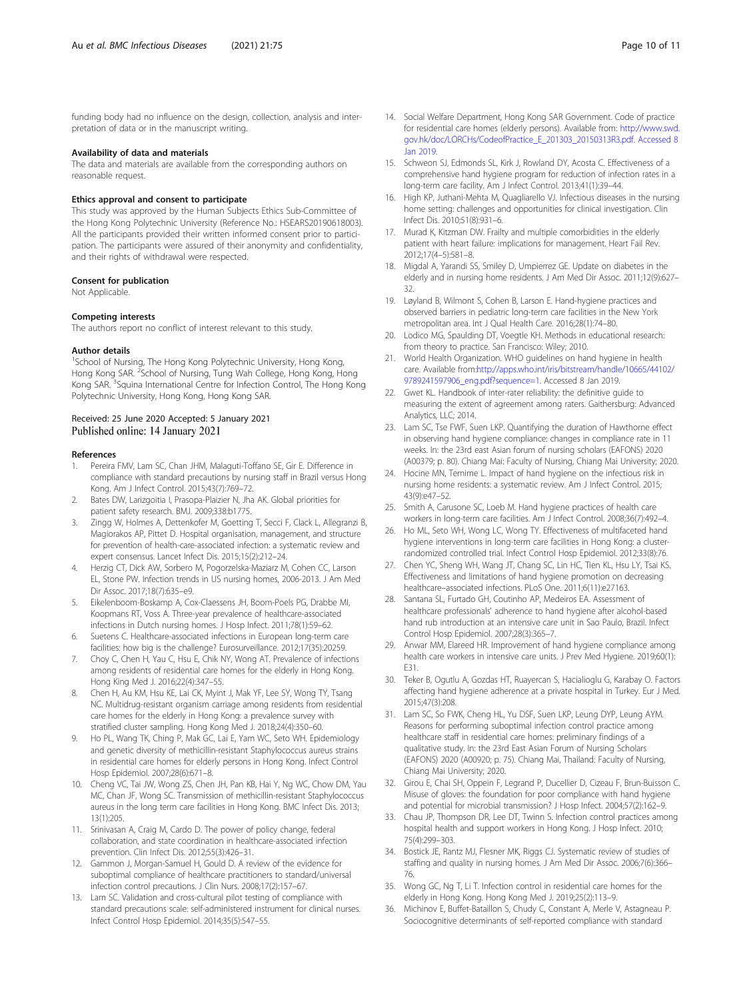<span id="page-9-0"></span>funding body had no influence on the design, collection, analysis and interpretation of data or in the manuscript writing.

#### Availability of data and materials

The data and materials are available from the corresponding authors on reasonable request.

#### Ethics approval and consent to participate

This study was approved by the Human Subjects Ethics Sub-Committee of the Hong Kong Polytechnic University (Reference No.: HSEARS20190618003). All the participants provided their written informed consent prior to participation. The participants were assured of their anonymity and confidentiality, and their rights of withdrawal were respected.

#### Consent for publication

Not Applicable.

#### Competing interests

The authors report no conflict of interest relevant to this study.

#### Author details

<sup>1</sup>School of Nursing, The Hong Kong Polytechnic University, Hong Kong, Hong Kong SAR. <sup>2</sup>School of Nursing, Tung Wah College, Hong Kong, Hong Kong SAR.<sup>3</sup>Squina International Centre for Infection Control, The Hong Kong Polytechnic University, Hong Kong, Hong Kong SAR.

#### Received: 25 June 2020 Accepted: 5 January 2021 Published online: 14 January 2021

#### References

- Pereira FMV, Lam SC, Chan JHM, Malaguti-Toffano SE, Gir E. Difference in compliance with standard precautions by nursing staff in Brazil versus Hong Kong. Am J Infect Control. 2015;43(7):769–72.
- 2. Bates DW, Larizgoitia I, Prasopa-Plaizier N, Jha AK. Global priorities for patient safety research. BMJ. 2009;338:b1775.
- 3. Zingg W, Holmes A, Dettenkofer M, Goetting T, Secci F, Clack L, Allegranzi B, Magiorakos AP, Pittet D. Hospital organisation, management, and structure for prevention of health-care-associated infection: a systematic review and expert consensus. Lancet Infect Dis. 2015;15(2):212–24.
- 4. Herzig CT, Dick AW, Sorbero M, Pogorzelska-Maziarz M, Cohen CC, Larson EL, Stone PW. Infection trends in US nursing homes, 2006-2013. J Am Med Dir Assoc. 2017;18(7):635–e9.
- 5. Eikelenboom-Boskamp A, Cox-Claessens JH, Boom-Poels PG, Drabbe MI, Koopmans RT, Voss A. Three-year prevalence of healthcare-associated infections in Dutch nursing homes. J Hosp Infect. 2011;78(1):59–62.
- 6. Suetens C. Healthcare-associated infections in European long-term care facilities: how big is the challenge? Eurosurveillance. 2012;17(35):20259.
- 7. Choy C, Chen H, Yau C, Hsu E, Chik NY, Wong AT. Prevalence of infections among residents of residential care homes for the elderly in Hong Kong. Hong King Med J. 2016;22(4):347–55.
- 8. Chen H, Au KM, Hsu KE, Lai CK, Myint J, Mak YF, Lee SY, Wong TY, Tsang NC. Multidrug-resistant organism carriage among residents from residential care homes for the elderly in Hong Kong: a prevalence survey with stratified cluster sampling. Hong Kong Med J. 2018;24(4):350–60.
- 9. Ho PL, Wang TK, Ching P, Mak GC, Lai E, Yam WC, Seto WH. Epidemiology and genetic diversity of methicillin-resistant Staphylococcus aureus strains in residential care homes for elderly persons in Hong Kong. Infect Control Hosp Epidemiol. 2007;28(6):671–8.
- 10. Cheng VC, Tai JW, Wong ZS, Chen JH, Pan KB, Hai Y, Ng WC, Chow DM, Yau MC, Chan JF, Wong SC. Transmission of methicillin-resistant Staphylococcus aureus in the long term care facilities in Hong Kong. BMC Infect Dis. 2013; 13(1):205.
- 11. Srinivasan A, Craig M, Cardo D. The power of policy change, federal collaboration, and state coordination in healthcare-associated infection prevention. Clin Infect Dis. 2012;55(3):426–31.
- 12. Gammon J, Morgan-Samuel H, Gould D. A review of the evidence for suboptimal compliance of healthcare practitioners to standard/universal infection control precautions. J Clin Nurs. 2008;17(2):157–67.
- 13. Lam SC. Validation and cross-cultural pilot testing of compliance with standard precautions scale: self-administered instrument for clinical nurses. Infect Control Hosp Epidemiol. 2014;35(5):547–55.
- 14. Social Welfare Department, Hong Kong SAR Government. Code of practice for residential care homes (elderly persons). Available from: [http://www.swd.](http://www.swd.gov.hk/doc/LORCHE/CodeofPractice_E_201303_20150313R3.pdf.%20Accessed%208%20Jan%202019) [gov.hk/doc/LORCHs/CodeofPractice\\_E\\_201303\\_20150313R3.pdf. Accessed 8](http://www.swd.gov.hk/doc/LORCHE/CodeofPractice_E_201303_20150313R3.pdf.%20Accessed%208%20Jan%202019) [Jan 2019.](http://www.swd.gov.hk/doc/LORCHE/CodeofPractice_E_201303_20150313R3.pdf.%20Accessed%208%20Jan%202019)
- 15. Schweon SJ, Edmonds SL, Kirk J, Rowland DY, Acosta C. Effectiveness of a comprehensive hand hygiene program for reduction of infection rates in a long-term care facility. Am J Infect Control. 2013;41(1):39–44.
- 16. High KP, Juthani-Mehta M, Quagliarello VJ. Infectious diseases in the nursing home setting: challenges and opportunities for clinical investigation. Clin Infect Dis. 2010;51(8):931–6.
- 17. Murad K, Kitzman DW. Frailty and multiple comorbidities in the elderly patient with heart failure: implications for management. Heart Fail Rev. 2012;17(4–5):581–8.
- 18. Migdal A, Yarandi SS, Smiley D, Umpierrez GE. Update on diabetes in the elderly and in nursing home residents. J Am Med Dir Assoc. 2011;12(9):627– 32.
- 19. Løyland B, Wilmont S, Cohen B, Larson E. Hand-hygiene practices and observed barriers in pediatric long-term care facilities in the New York metropolitan area. Int J Qual Health Care. 2016;28(1):74–80.
- 20. Lodico MG, Spaulding DT, Voegtle KH. Methods in educational research: from theory to practice. San Francisco: Wiley; 2010.
- 21. World Health Organization. WHO guidelines on hand hygiene in health care. Available from[:http://apps.who.int/iris/bitstream/handle/10665/44102/](http://apps.who.int/iris/bitstream/handle/10665/44102/9789241597906_eng.pdf?sequence=1) [9789241597906\\_eng.pdf?sequence=1](http://apps.who.int/iris/bitstream/handle/10665/44102/9789241597906_eng.pdf?sequence=1). Accessed 8 Jan 2019.
- 22. Gwet KL. Handbook of inter-rater reliability: the definitive guide to measuring the extent of agreement among raters. Gaithersburg: Advanced Analytics, LLC; 2014.
- 23. Lam SC, Tse FWF, Suen LKP. Quantifying the duration of Hawthorne effect in observing hand hygiene compliance: changes in compliance rate in 11 weeks. In: the 23rd east Asian forum of nursing scholars (EAFONS) 2020 (A00379; p. 80). Chiang Mai: Faculty of Nursing, Chiang Mai University; 2020.
- 24. Hocine MN, Temime L. Impact of hand hygiene on the infectious risk in nursing home residents: a systematic review. Am J Infect Control. 2015; 43(9):e47–52.
- 25. Smith A, Carusone SC, Loeb M. Hand hygiene practices of health care workers in long-term care facilities. Am J Infect Control. 2008;36(7):492–4.
- 26. Ho ML, Seto WH, Wong LC, Wong TY. Effectiveness of multifaceted hand hygiene interventions in long-term care facilities in Hong Kong: a clusterrandomized controlled trial. Infect Control Hosp Epidemiol. 2012;33(8):76.
- 27. Chen YC, Sheng WH, Wang JT, Chang SC, Lin HC, Tien KL, Hsu LY, Tsai KS. Effectiveness and limitations of hand hygiene promotion on decreasing healthcare–associated infections. PLoS One. 2011;6(11):e27163.
- 28. Santana SL, Furtado GH, Coutinho AP, Medeiros EA. Assessment of healthcare professionals' adherence to hand hygiene after alcohol-based hand rub introduction at an intensive care unit in Sao Paulo, Brazil. Infect Control Hosp Epidemiol. 2007;28(3):365–7.
- 29. Anwar MM, Elareed HR. Improvement of hand hygiene compliance among health care workers in intensive care units. J Prev Med Hygiene. 2019;60(1): E31.
- 30. Teker B, Ogutlu A, Gozdas HT, Ruayercan S, Hacialioglu G, Karabay O. Factors affecting hand hygiene adherence at a private hospital in Turkey. Eur J Med. 2015;47(3):208.
- 31. Lam SC, So FWK, Cheng HL, Yu DSF, Suen LKP, Leung DYP, Leung AYM. Reasons for performing suboptimal infection control practice among healthcare staff in residential care homes: preliminary findings of a qualitative study. In: the 23rd East Asian Forum of Nursing Scholars (EAFONS) 2020 (A00920; p. 75). Chiang Mai, Thailand: Faculty of Nursing, Chiang Mai University; 2020.
- 32. Girou E, Chai SH, Oppein F, Legrand P, Ducellier D, Cizeau F, Brun-Buisson C. Misuse of gloves: the foundation for poor compliance with hand hygiene and potential for microbial transmission? J Hosp Infect. 2004;57(2):162–9.
- 33. Chau JP, Thompson DR, Lee DT, Twinn S. Infection control practices among hospital health and support workers in Hong Kong. J Hosp Infect. 2010; 75(4):299–303.
- 34. Bostick JE, Rantz MJ, Flesner MK, Riggs CJ. Systematic review of studies of staffing and quality in nursing homes. J Am Med Dir Assoc. 2006;7(6):366– 76.
- 35. Wong GC, Ng T, Li T. Infection control in residential care homes for the elderly in Hong Kong. Hong Kong Med J. 2019;25(2):113–9.
- 36. Michinov E, Buffet-Bataillon S, Chudy C, Constant A, Merle V, Astagneau P. Sociocognitive determinants of self-reported compliance with standard